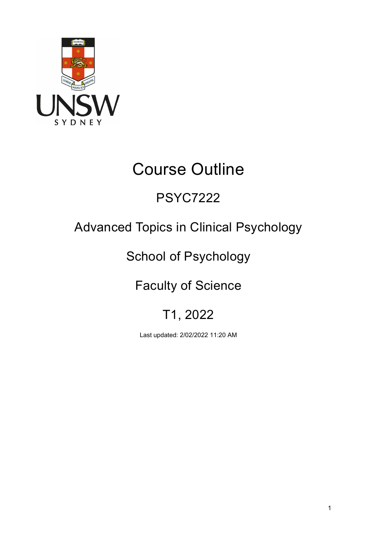

# Course Outline

## PSYC7222

## Advanced Topics in Clinical Psychology

## School of Psychology

## Faculty of Science

## T1, 2022

Last updated: 2/02/2022 11:20 AM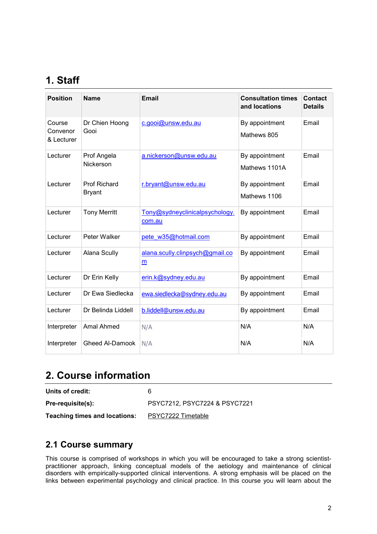## **1. Staff**

| <b>Position</b>                  | <b>Name</b>                          | <b>Email</b>                             | <b>Consultation times</b><br>and locations | <b>Contact</b><br><b>Details</b> |
|----------------------------------|--------------------------------------|------------------------------------------|--------------------------------------------|----------------------------------|
| Course<br>Convenor<br>& Lecturer | Dr Chien Hoong<br>Gooi               | c.gooi@unsw.edu.au                       | By appointment<br>Mathews 805              | Email                            |
| Lecturer                         | Prof Angela<br>Nickerson             | a.nickerson@unsw.edu.au                  | By appointment<br>Mathews 1101A            | Email                            |
| Lecturer                         | <b>Prof Richard</b><br><b>Bryant</b> | r.bryant@unsw.edu.au                     | By appointment<br>Mathews 1106             | Email                            |
| Lecturer                         | <b>Tony Merritt</b>                  | Tony@sydneyclinicalpsychology.<br>com.au | By appointment                             | Email                            |
| Lecturer                         | Peter Walker                         | pete w35@hotmail.com                     | By appointment                             | Email                            |
| Lecturer                         | Alana Scully                         | alana.scully.clinpsych@gmail.co<br>m     | By appointment                             | Email                            |
| Lecturer                         | Dr Erin Kelly                        | erin.k@sydney.edu.au                     | By appointment                             | Email                            |
| Lecturer                         | Dr Ewa Siedlecka                     | ewa.siedlecka@sydney.edu.au              | By appointment                             | Email                            |
| Lecturer                         | Dr Belinda Liddell                   | b.liddell@unsw.edu.au                    | By appointment                             | Email                            |
| Interpreter                      | <b>Amal Ahmed</b>                    | N/A                                      | N/A                                        | N/A                              |
| Interpreter                      | <b>Gheed Al-Damook</b>               | N/A                                      | N/A                                        | N/A                              |

### **2. Course information**

**Units of credit:** 6

**Pre-requisite(s):** PSYC7212, PSYC7224 & PSYC7221

**Teaching times and locations:** [PSYC7222](https://timetable.unsw.edu.au/2022/PSYC7222.html) Timetable

#### **2.1 Course summary**

This course is comprised of workshops in which you will be encouraged to take a strong scientistpractitioner approach, linking conceptual models of the aetiology and maintenance of clinical disorders with empirically-supported clinical interventions. A strong emphasis will be placed on the links between experimental psychology and clinical practice. In this course you will learn about the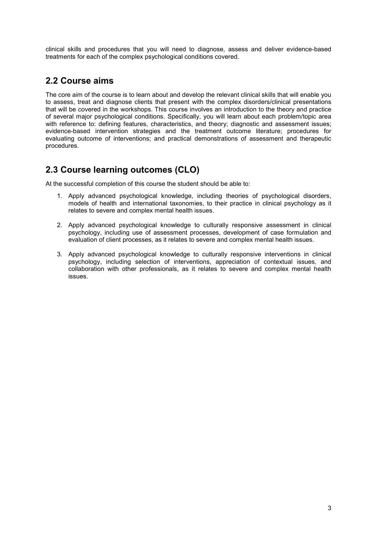clinical skills and procedures that you will need to diagnose, assess and deliver evidence-based treatments for each of the complex psychological conditions covered.

#### **2.2 Course aims**

The core aim of the course is to learn about and develop the relevant clinical skills that will enable you to assess, treat and diagnose clients that present with the complex disorders/clinical presentations that will be covered in the workshops. This course involves an introduction to the theory and practice of several major psychological conditions. Specifically, you will learn about each problem/topic area with reference to: defining features, characteristics, and theory; diagnostic and assessment issues; evidence-based intervention strategies and the treatment outcome literature; procedures for evaluating outcome of interventions; and practical demonstrations of assessment and therapeutic procedures.

### **2.3 Course learning outcomes (CLO)**

At the successful completion of this course the student should be able to:

- 1. Apply advanced psychological knowledge, including theories of psychological disorders, models of health and international taxonomies, to their practice in clinical psychology as it relates to severe and complex mental health issues.
- 2. Apply advanced psychological knowledge to culturally responsive assessment in clinical psychology, including use of assessment processes, development of case formulation and evaluation of client processes, as it relates to severe and complex mental health issues.
- 3. Apply advanced psychological knowledge to culturally responsive interventions in clinical psychology, including selection of interventions, appreciation of contextual issues, and collaboration with other professionals, as it relates to severe and complex mental health issues.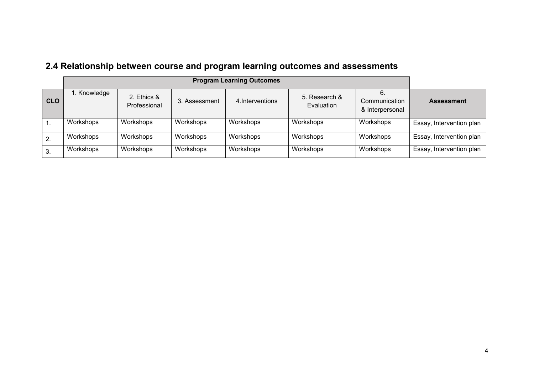|                  | <b>Program Learning Outcomes</b> |                             |               |                  |                             |                                  |                          |
|------------------|----------------------------------|-----------------------------|---------------|------------------|-----------------------------|----------------------------------|--------------------------|
| <b>CLO</b>       | . Knowledge                      | 2. Ethics &<br>Professional | 3. Assessment | 4. Interventions | 5. Research &<br>Evaluation | Communication<br>& Interpersonal | <b>Assessment</b>        |
| $\overline{1}$ . | Workshops                        | Workshops                   | Workshops     | Workshops        | Workshops                   | Workshops                        | Essay, Intervention plan |
| $\overline{2}$ . | Workshops                        | Workshops                   | Workshops     | Workshops        | Workshops                   | Workshops                        | Essay, Intervention plan |
| 3.               | Workshops                        | Workshops                   | Workshops     | Workshops        | Workshops                   | Workshops                        | Essay, Intervention plan |

## **2.4 Relationship between course and program learning outcomes and assessments**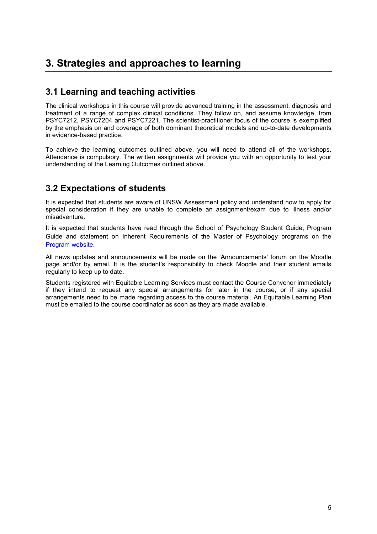## **3. Strategies and approaches to learning**

#### **3.1 Learning and teaching activities**

The clinical workshops in this course will provide advanced training in the assessment, diagnosis and treatment of a range of complex clinical conditions. They follow on, and assume knowledge, from PSYC7212, PSYC7204 and PSYC7221. The scientist-practitioner focus of the course is exemplified by the emphasis on and coverage of both dominant theoretical models and up-to-date developments in evidence-based practice.

To achieve the learning outcomes outlined above, you will need to attend all of the workshops. Attendance is compulsory. The written assignments will provide you with an opportunity to test your understanding of the Learning Outcomes outlined above.

#### **3.2 Expectations of students**

It is expected that students are aware of UNSW Assessment policy and understand how to apply for special consideration if they are unable to complete an assignment/exam due to illness and/or misadventure.

It is expected that students have read through the School of Psychology Student Guide, Program Guide and statement on Inherent Requirements of the Master of Psychology programs on the [Program website.](https://www.psy.unsw.edu.au/postgraduate-coursework/master-psychology-clinical)

All news updates and announcements will be made on the 'Announcements' forum on the Moodle page and/or by email. It is the student's responsibility to check Moodle and their student emails regularly to keep up to date.

Students registered with Equitable Learning Services must contact the Course Convenor immediately if they intend to request any special arrangements for later in the course, or if any special arrangements need to be made regarding access to the course material. An Equitable Learning Plan must be emailed to the course coordinator as soon as they are made available.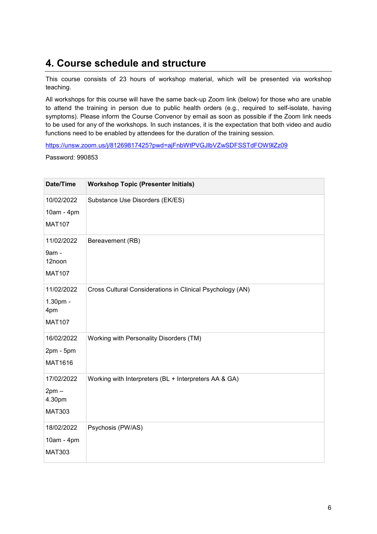### **4. Course schedule and structure**

This course consists of 23 hours of workshop material, which will be presented via workshop teaching.

All workshops for this course will have the same back-up Zoom link (below) for those who are unable to attend the training in person due to public health orders (e.g., required to self-isolate, having symptoms). Please inform the Course Convenor by email as soon as possible if the Zoom link needs to be used for any of the workshops. In such instances, it is the expectation that both video and audio functions need to be enabled by attendees for the duration of the training session.

<https://unsw.zoom.us/j/81269817425?pwd=ajFnbWtPVGJlbVZwSDFSSTdFOW9lZz09>

Password: 990853

| Date/Time                                        | <b>Workshop Topic (Presenter Initials)</b>                |
|--------------------------------------------------|-----------------------------------------------------------|
| 10/02/2022<br>10am - 4pm<br><b>MAT107</b>        | Substance Use Disorders (EK/ES)                           |
| 11/02/2022<br>9am -<br>12noon<br><b>MAT107</b>   | Bereavement (RB)                                          |
| 11/02/2022<br>1.30pm -<br>4pm<br><b>MAT107</b>   | Cross Cultural Considerations in Clinical Psychology (AN) |
| 16/02/2022<br>$2pm - 5pm$<br>MAT1616             | Working with Personality Disorders (TM)                   |
| 17/02/2022<br>$2pm -$<br>4.30pm<br><b>MAT303</b> | Working with Interpreters (BL + Interpreters AA & GA)     |
| 18/02/2022<br>10am - 4pm<br><b>MAT303</b>        | Psychosis (PW/AS)                                         |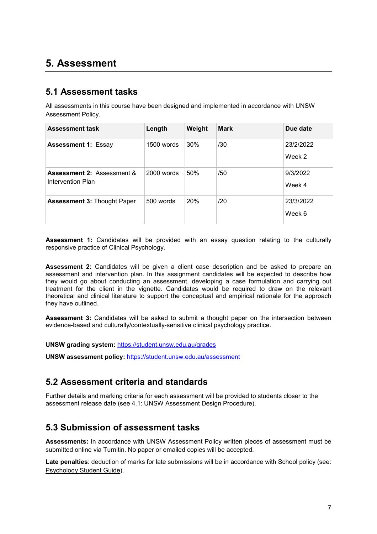### **5. Assessment**

#### **5.1 Assessment tasks**

All assessments in this course have been designed and implemented in accordance with UNSW Assessment Policy.

| <b>Assessment task</b>                                     | Length       | Weight     | <b>Mark</b> | Due date            |
|------------------------------------------------------------|--------------|------------|-------------|---------------------|
| <b>Assessment 1: Essay</b>                                 | 1500 words   | 30%        | /30         | 23/2/2022<br>Week 2 |
| <b>Assessment 2: Assessment &amp;</b><br>Intervention Plan | $2000$ words | 50%        | /50         | 9/3/2022<br>Week 4  |
| <b>Assessment 3: Thought Paper</b>                         | 500 words    | <b>20%</b> | /20         | 23/3/2022<br>Week 6 |

**Assessment 1:** Candidates will be provided with an essay question relating to the culturally responsive practice of Clinical Psychology.

**Assessment 2:** Candidates will be given a client case description and be asked to prepare an assessment and intervention plan. In this assignment candidates will be expected to describe how they would go about conducting an assessment, developing a case formulation and carrying out treatment for the client in the vignette. Candidates would be required to draw on the relevant theoretical and clinical literature to support the conceptual and empirical rationale for the approach they have outlined.

**Assessment 3:** Candidates will be asked to submit a thought paper on the intersection between evidence-based and culturally/contextually-sensitive clinical psychology practice.

**UNSW grading system:** <https://student.unsw.edu.au/grades>

**UNSW assessment policy:** <https://student.unsw.edu.au/assessment>

#### **5.2 Assessment criteria and standards**

Further details and marking criteria for each assessment will be provided to students closer to the assessment release date (see 4.1: UNSW Assessment Design Procedure).

#### **5.3 Submission of assessment tasks**

**Assessments:** In accordance with UNSW Assessment Policy written pieces of assessment must be submitted online via Turnitin. No paper or emailed copies will be accepted.

**Late penalties**: deduction of marks for late submissions will be in accordance with School policy (see: [Psychology Student Guide\)](https://moodle.telt.unsw.edu.au/course/view.php?id=63942).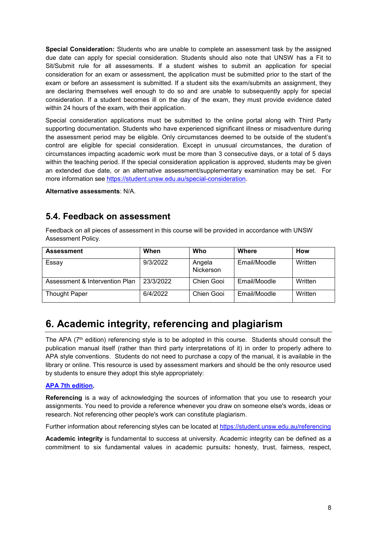**Special Consideration:** Students who are unable to complete an assessment task by the assigned due date can apply for special consideration. Students should also note that UNSW has a Fit to Sit/Submit rule for all assessments. If a student wishes to submit an application for special consideration for an exam or assessment, the application must be submitted prior to the start of the exam or before an assessment is submitted. If a student sits the exam/submits an assignment, they are declaring themselves well enough to do so and are unable to subsequently apply for special consideration. If a student becomes ill on the day of the exam, they must provide evidence dated within 24 hours of the exam, with their application.

Special consideration applications must be submitted to the online portal along with Third Party supporting documentation. Students who have experienced significant illness or misadventure during the assessment period may be eligible. Only circumstances deemed to be outside of the student's control are eligible for special consideration. Except in unusual circumstances, the duration of circumstances impacting academic work must be more than 3 consecutive days, or a total of 5 days within the teaching period. If the special consideration application is approved, students may be given an extended due date, or an alternative assessment/supplementary examination may be set. For more information see [https://student.unsw.edu.au/special-consideration.](https://student.unsw.edu.au/special-consideration)

**Alternative assessments**: N/A.

#### **5.4. Feedback on assessment**

Feedback on all pieces of assessment in this course will be provided in accordance with UNSW Assessment Policy.

| <b>Assessment</b>              | When      | Who                 | Where        | How     |
|--------------------------------|-----------|---------------------|--------------|---------|
| Essay                          | 9/3/2022  | Angela<br>Nickerson | Email/Moodle | Written |
| Assessment & Intervention Plan | 23/3/2022 | Chien Gooi          | Email/Moodle | Written |
| <b>Thought Paper</b>           | 6/4/2022  | Chien Gooi          | Email/Moodle | Written |

### **6. Academic integrity, referencing and plagiarism**

The APA ( $7<sup>th</sup>$  edition) referencing style is to be adopted in this course. Students should consult the publication manual itself (rather than third party interpretations of it) in order to properly adhere to APA style conventions. Students do not need to purchase a copy of the manual, it is available in the library or online. This resource is used by assessment markers and should be the only resource used by students to ensure they adopt this style appropriately:

#### **[APA 7th edition.](https://apastyle.apa.org/products/publication-manual-7th-edition)**

**Referencing** is a way of acknowledging the sources of information that you use to research your assignments. You need to provide a reference whenever you draw on someone else's words, ideas or research. Not referencing other people's work can constitute plagiarism.

Further information about referencing styles can be located at <https://student.unsw.edu.au/referencing>

**Academic integrity** is fundamental to success at university. Academic integrity can be defined as a commitment to six fundamental values in academic pursuits**:** honesty, trust, fairness, respect,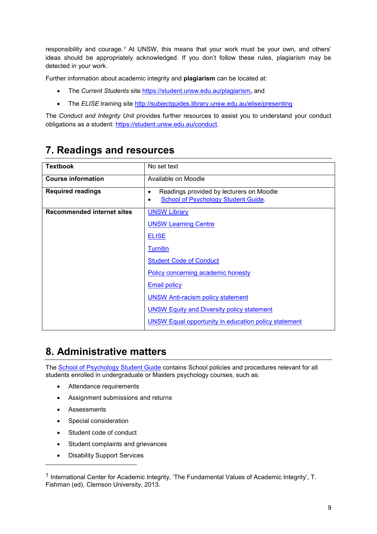responsibility and courage.*[1](#page-8-0)* At UNSW, this means that your work must be your own, and others' ideas should be appropriately acknowledged. If you don't follow these rules, plagiarism may be detected in your work.

Further information about academic integrity and **plagiarism** can be located at:

- The *Current Students* site <https://student.unsw.edu.au/plagiarism>*,* and
- The *ELISE* training site <http://subjectguides.library.unsw.edu.au/elise/presenting>

The *Conduct and Integrity Unit* provides further resources to assist you to understand your conduct obligations as a student: [https://student.unsw.edu.au/conduct.](https://student.unsw.edu.au/conduct)

## **7. Readings and resources**

| <b>Textbook</b>                   | No set text                                                                          |
|-----------------------------------|--------------------------------------------------------------------------------------|
| <b>Course information</b>         | Available on Moodle                                                                  |
| <b>Required readings</b>          | Readings provided by lecturers on Moodle<br>٠<br>School of Psychology Student Guide. |
| <b>Recommended internet sites</b> | <b>UNSW Library</b>                                                                  |
|                                   | <b>UNSW Learning Centre</b>                                                          |
|                                   | <b>ELISE</b>                                                                         |
|                                   | <b>Turnitin</b>                                                                      |
|                                   | <b>Student Code of Conduct</b>                                                       |
|                                   | Policy concerning academic honesty                                                   |
|                                   | <b>Email policy</b>                                                                  |
|                                   | <b>UNSW Anti-racism policy statement</b>                                             |
|                                   | <b>UNSW Equity and Diversity policy statement</b>                                    |
|                                   | <b>UNSW Equal opportunity in education policy statement</b>                          |

### **8. Administrative matters**

The **School of Psychology Student Guide** contains School policies and procedures relevant for all students enrolled in undergraduate or Masters psychology courses, such as:

- Attendance requirements
- Assignment submissions and returns
- Assessments

j

- Special consideration
- Student code of conduct
- Student complaints and grievances
- **Disability Support Services**

<span id="page-8-0"></span><sup>&</sup>lt;sup>1</sup> International Center for Academic Integrity, 'The Fundamental Values of Academic Integrity', T. Fishman (ed), Clemson University, 2013.